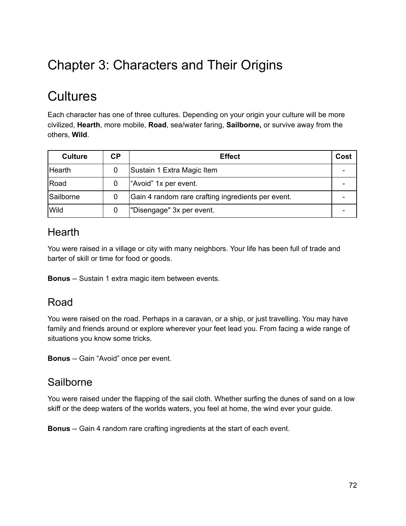# Chapter 3: Characters and Their Origins

## **Cultures**

Each character has one of three cultures. Depending on your origin your culture will be more civilized, **Hearth**, more mobile, **Road**, sea/water faring, **Sailborne,** or survive away from the others, **Wild**.

| <b>Culture</b> | СP | <b>Effect</b>                                      | Cost |
|----------------|----|----------------------------------------------------|------|
| <b>Hearth</b>  | 0  | Sustain 1 Extra Magic Item                         |      |
| Road           |    | "Avoid" 1x per event.                              |      |
| Sailborne      | 0  | Gain 4 random rare crafting ingredients per event. |      |
| Wild           |    | "Disengage" 3x per event.                          |      |

#### **Hearth**

You were raised in a village or city with many neighbors. Your life has been full of trade and barter of skill or time for food or goods.

**Bonus** -- Sustain 1 extra magic item between events.

#### Road

You were raised on the road. Perhaps in a caravan, or a ship, or just travelling. You may have family and friends around or explore wherever your feet lead you. From facing a wide range of situations you know some tricks.

**Bonus** -- Gain "Avoid" once per event.

#### **Sailborne**

You were raised under the flapping of the sail cloth. Whether surfing the dunes of sand on a low skiff or the deep waters of the worlds waters, you feel at home, the wind ever your guide.

**Bonus** -- Gain 4 random rare crafting ingredients at the start of each event.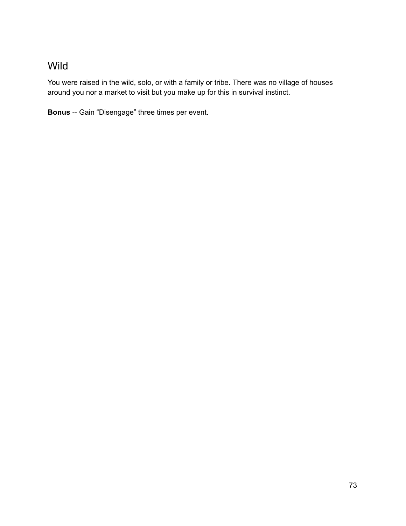## Wild

You were raised in the wild, solo, or with a family or tribe. There was no village of houses around you nor a market to visit but you make up for this in survival instinct.

**Bonus** -- Gain "Disengage" three times per event.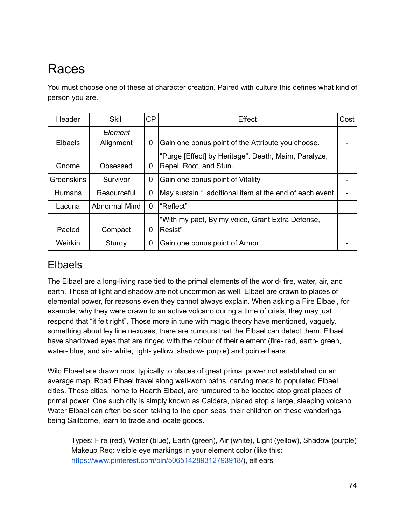# Races

You must choose one of these at character creation. Paired with culture this defines what kind of person you are.

| Header            | <b>Skill</b>         | CP | Effect                                                                         | Cost |
|-------------------|----------------------|----|--------------------------------------------------------------------------------|------|
| <b>Elbaels</b>    | Element<br>Alignment | 0  | Gain one bonus point of the Attribute you choose.                              |      |
| Gnome             | Obsessed             | 0  | "Purge [Effect] by Heritage". Death, Maim, Paralyze,<br>Repel, Root, and Stun. |      |
| <b>Greenskins</b> | Survivor             | 0  | Gain one bonus point of Vitality                                               |      |
| <b>Humans</b>     | Resourceful          | 0  | May sustain 1 additional item at the end of each event.                        |      |
| Lacuna            | <b>Abnormal Mind</b> | 0  | l"Reflect"                                                                     |      |
| Pacted            | Compact              | 0  | "With my pact, By my voice, Grant Extra Defense,<br>Resist"                    |      |
| Weirkin           | Sturdy               | 0  | Gain one bonus point of Armor                                                  |      |

### Elbaels

The Elbael are a long-living race tied to the primal elements of the world- fire, water, air, and earth. Those of light and shadow are not uncommon as well. Elbael are drawn to places of elemental power, for reasons even they cannot always explain. When asking a Fire Elbael, for example, why they were drawn to an active volcano during a time of crisis, they may just respond that "it felt right". Those more in tune with magic theory have mentioned, vaguely, something about ley line nexuses; there are rumours that the Elbael can detect them. Elbael have shadowed eyes that are ringed with the colour of their element (fire-red, earth-green, water- blue, and air- white, light- yellow, shadow- purple) and pointed ears.

Wild Elbael are drawn most typically to places of great primal power not established on an average map. Road Elbael travel along well-worn paths, carving roads to populated Elbael cities. These cities, home to Hearth Elbael, are rumoured to be located atop great places of primal power. One such city is simply known as Caldera, placed atop a large, sleeping volcano. Water Elbael can often be seen taking to the open seas, their children on these wanderings being Sailborne, learn to trade and locate goods.

Types: Fire (red), Water (blue), Earth (green), Air (white), Light (yellow), Shadow (purple) Makeup Req: visible eye markings in your element color (like this: https://www.pinterest.com/pin/506514289312793918/), elf ears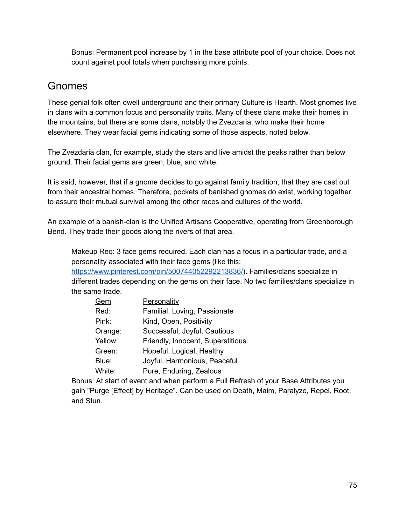Bonus: Permanent pool increase by 1 in the base attribute pool of your choice. Does not count against pool totals when purchasing more points.

## Gnomes

These genial folk often dwell underground and their primary Culture is Hearth. Most gnomes live in clans with a common focus and personality traits. Many of these clans make their homes in the mountains, but there are some clans, notably the Zvezdaria, who make their home elsewhere. They wear facial gems indicating some of those aspects, noted below.

The Zvezdaria clan, for example, study the stars and live amidst the peaks rather than below ground. Their facial gems are green, blue, and white.

It is said, however, that if a gnome decides to go against family tradition, that they are cast out from their ancestral homes. Therefore, pockets of banished gnomes do exist, working together to assure their mutual survival among the other races and cultures of the world.

An example of a banish-clan is the Unified Artisans Cooperative, operating from Greenborough Bend. They trade their goods along the rivers of that area.

Makeup Req: 3 face gems required. Each clan has a focus in a particular trade, and a personality associated with their face gems (like this:

https://www.pinterest.com/pin/500744052292213836/). Families/clans specialize in different trades depending on the gems on their face. No two families/clans specialize in the same trade.

| <b>Personality</b>                |
|-----------------------------------|
| Familial, Loving, Passionate      |
| Kind, Open, Positivity            |
| Successful, Joyful, Cautious      |
| Friendly, Innocent, Superstitious |
| Hopeful, Logical, Healthy         |
| Joyful, Harmonious, Peaceful      |
| Pure, Enduring, Zealous           |
|                                   |

Bonus: At start of event and when perform a Full Refresh of your Base Attributes you gain "Purge [Effect] by Heritage". Can be used on Death, Maim, Paralyze, Repel, Root, and Stun.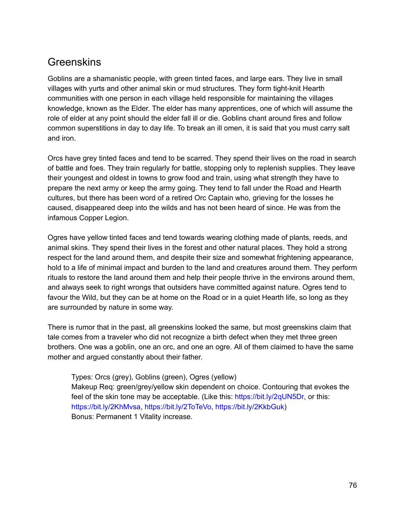#### **Greenskins**

Goblins are a shamanistic people, with green tinted faces, and large ears. They live in small villages with yurts and other animal skin or mud structures. They form tight-knit Hearth communities with one person in each village held responsible for maintaining the villages knowledge, known as the Elder. The elder has many apprentices, one of which will assume the role of elder at any point should the elder fall ill or die. Goblins chant around fires and follow common superstitions in day to day life. To break an ill omen, it is said that you must carry salt and iron.

Orcs have grey tinted faces and tend to be scarred. They spend their lives on the road in search of battle and foes. They train regularly for battle, stopping only to replenish supplies. They leave their youngest and oldest in towns to grow food and train, using what strength they have to prepare the next army or keep the army going. They tend to fall under the Road and Hearth cultures, but there has been word of a retired Orc Captain who, grieving for the losses he caused, disappeared deep into the wilds and has not been heard of since. He was from the infamous Copper Legion.

Ogres have yellow tinted faces and tend towards wearing clothing made of plants, reeds, and animal skins. They spend their lives in the forest and other natural places. They hold a strong respect for the land around them, and despite their size and somewhat frightening appearance, hold to a life of minimal impact and burden to the land and creatures around them. They perform rituals to restore the land around them and help their people thrive in the environs around them, and always seek to right wrongs that outsiders have committed against nature. Ogres tend to favour the Wild, but they can be at home on the Road or in a quiet Hearth life, so long as they are surrounded by nature in some way.

There is rumor that in the past, all greenskins looked the same, but most greenskins claim that tale comes from a traveler who did not recognize a birth defect when they met three green brothers. One was a goblin, one an orc, and one an ogre. All of them claimed to have the same mother and argued constantly about their father.

Types: Orcs (grey), Goblins (green), Ogres (yellow) Makeup Req: green/grey/yellow skin dependent on choice. Contouring that evokes the feel of the skin tone may be acceptable. (Like this: https://bit.ly/2qUN5Dr, or this: https://bit.ly/2KhMvsa, https://bit.ly/2ToTeVo, https://bit.ly/2KkbGuk) Bonus: Permanent 1 Vitality increase.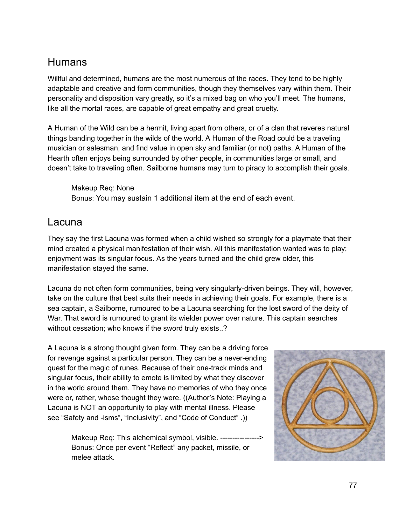### **Humans**

Willful and determined, humans are the most numerous of the races. They tend to be highly adaptable and creative and form communities, though they themselves vary within them. Their personality and disposition vary greatly, so it's a mixed bag on who you'll meet. The humans, like all the mortal races, are capable of great empathy and great cruelty.

A Human of the Wild can be a hermit, living apart from others, or of a clan that reveres natural things banding together in the wilds of the world. A Human of the Road could be a traveling musician or salesman, and find value in open sky and familiar (or not) paths. A Human of the Hearth often enjoys being surrounded by other people, in communities large or small, and doesn't take to traveling often. Sailborne humans may turn to piracy to accomplish their goals.

Makeup Req: None Bonus: You may sustain 1 additional item at the end of each event.

#### Lacuna

They say the first Lacuna was formed when a child wished so strongly for a playmate that their mind created a physical manifestation of their wish. All this manifestation wanted was to play; enjoyment was its singular focus. As the years turned and the child grew older, this manifestation stayed the same.

Lacuna do not often form communities, being very singularly-driven beings. They will, however, take on the culture that best suits their needs in achieving their goals. For example, there is a sea captain, a Sailborne, rumoured to be a Lacuna searching for the lost sword of the deity of War. That sword is rumoured to grant its wielder power over nature. This captain searches without cessation; who knows if the sword truly exists..?

A Lacuna is a strong thought given form. They can be a driving force for revenge against a particular person. They can be a never-ending quest for the magic of runes. Because of their one-track minds and singular focus, their ability to emote is limited by what they discover in the world around them. They have no memories of who they once were or, rather, whose thought they were. ((Author's Note: Playing a Lacuna is NOT an opportunity to play with mental illness. Please see "Safety and -isms", "Inclusivity", and "Code of Conduct" .))

> Makeup Req: This alchemical symbol, visible. ----------------> Bonus: Once per event "Reflect" any packet, missile, or melee attack.

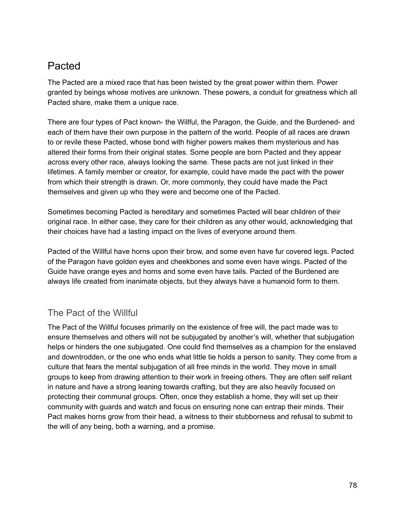## Pacted

The Pacted are a mixed race that has been twisted by the great power within them. Power granted by beings whose motives are unknown. These powers, a conduit for greatness which all Pacted share, make them a unique race.

There are four types of Pact known- the Willful, the Paragon, the Guide, and the Burdened- and each of them have their own purpose in the pattern of the world. People of all races are drawn to or revile these Pacted, whose bond with higher powers makes them mysterious and has altered their forms from their original states. Some people are born Pacted and they appear across every other race, always looking the same. These pacts are not just linked in their lifetimes. A family member or creator, for example, could have made the pact with the power from which their strength is drawn. Or, more commonly, they could have made the Pact themselves and given up who they were and become one of the Pacted.

Sometimes becoming Pacted is hereditary and sometimes Pacted will bear children of their original race. In either case, they care for their children as any other would, acknowledging that their choices have had a lasting impact on the lives of everyone around them.

Pacted of the Willful have horns upon their brow, and some even have fur covered legs. Pacted of the Paragon have golden eyes and cheekbones and some even have wings. Pacted of the Guide have orange eyes and horns and some even have tails. Pacted of the Burdened are always life created from inanimate objects, but they always have a humanoid form to them.

#### The Pact of the Willful

The Pact of the Willful focuses primarily on the existence of free will, the pact made was to ensure themselves and others will not be subjugated by another's will, whether that subjugation helps or hinders the one subjugated. One could find themselves as a champion for the enslaved and downtrodden, or the one who ends what little tie holds a person to sanity. They come from a culture that fears the mental subjugation of all free minds in the world. They move in small groups to keep from drawing attention to their work in freeing others. They are often self reliant in nature and have a strong leaning towards crafting, but they are also heavily focused on protecting their communal groups. Often, once they establish a home, they will set up their community with guards and watch and focus on ensuring none can entrap their minds. Their Pact makes horns grow from their head, a witness to their stubborness and refusal to submit to the will of any being, both a warning, and a promise.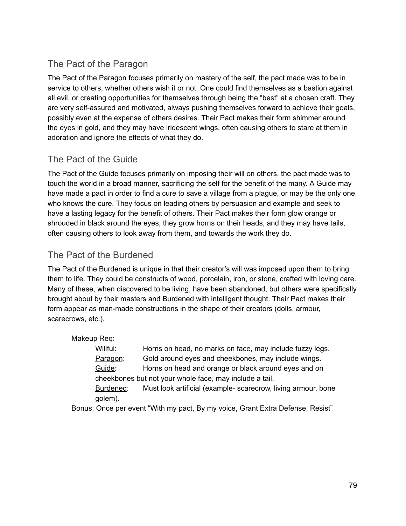#### The Pact of the Paragon

The Pact of the Paragon focuses primarily on mastery of the self, the pact made was to be in service to others, whether others wish it or not. One could find themselves as a bastion against all evil, or creating opportunities for themselves through being the "best" at a chosen craft. They are very self-assured and motivated, always pushing themselves forward to achieve their goals, possibly even at the expense of others desires. Their Pact makes their form shimmer around the eyes in gold, and they may have iridescent wings, often causing others to stare at them in adoration and ignore the effects of what they do.

#### The Pact of the Guide

The Pact of the Guide focuses primarily on imposing their will on others, the pact made was to touch the world in a broad manner, sacrificing the self for the benefit of the many. A Guide may have made a pact in order to find a cure to save a village from a plague, or may be the only one who knows the cure. They focus on leading others by persuasion and example and seek to have a lasting legacy for the benefit of others. Their Pact makes their form glow orange or shrouded in black around the eyes, they grow horns on their heads, and they may have tails, often causing others to look away from them, and towards the work they do.

#### The Pact of the Burdened

The Pact of the Burdened is unique in that their creator's will was imposed upon them to bring them to life. They could be constructs of wood, porcelain, iron, or stone, crafted with loving care. Many of these, when discovered to be living, have been abandoned, but others were specifically brought about by their masters and Burdened with intelligent thought. Their Pact makes their form appear as man-made constructions in the shape of their creators (dolls, armour, scarecrows, etc.).

Makeup Req:

Willful: Horns on head, no marks on face, may include fuzzy legs. Paragon: Gold around eyes and cheekbones, may include wings. Guide: Horns on head and orange or black around eyes and on cheekbones but not your whole face, may include a tail.

Burdened: Must look artificial (example-scarecrow, living armour, bone golem).

Bonus: Once per event "With my pact, By my voice, Grant Extra Defense, Resist"